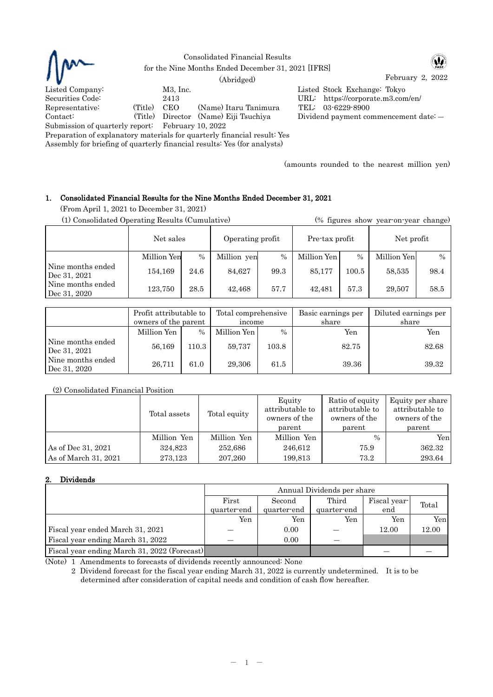

Consolidated Financial Results for the Nine Months Ended December 31, 2021 [IFRS]

W

February 2, 2022 (Abridged) Listed Company: M3, Inc. Listed Stock Exchange: Tokyo Securities Code: 2413 URL: https://corporate.m3.com/en/ Representative: (Title) CEO (Name) Itaru Tanimura TEL: 03-6229-8900<br>Contact: (Title) Director (Name) Eiji Tsuchiya Dividend payment co Contact: (Title) Director (Name) Eiji Tsuchiya Dividend payment commencement date: ―

Submission of quarterly report: February 10, 2022 Preparation of explanatory materials for quarterly financial result: Yes

Assembly for briefing of quarterly financial results: Yes (for analysts)

(amounts rounded to the nearest million yen)

## 1. Consolidated Financial Results for the Nine Months Ended December 31, 2021

(From April 1, 2021 to December 31, 2021)

(1) Consolidated Operating Results (Cumulative) (% figures show year-on-year change)

|                                   | Net sales   |      | Operating profit |      | Pre-tax profit |           | Net profit  |               |
|-----------------------------------|-------------|------|------------------|------|----------------|-----------|-------------|---------------|
|                                   | Million Yen | $\%$ | Million yen      | $\%$ | Million Yen    | $\%$      | Million Yen | $\frac{0}{0}$ |
| Nine months ended<br>Dec 31, 2021 | 154,169     | 24.6 | 84,627           | 99.3 | 85,177         | $100.5\,$ | 58,535      | 98.4          |
| Nine months ended<br>Dec 31, 2020 | 123,750     | 28.5 | 42,468           | 57.7 | 42.481         | 57.3      | 29.507      | 58.5          |

|                                   | Profit attributable to<br>owners of the parent |       | Total comprehensive<br>income |       | Basic earnings per<br>share | Diluted earnings per<br>share |  |
|-----------------------------------|------------------------------------------------|-------|-------------------------------|-------|-----------------------------|-------------------------------|--|
|                                   | Million Yen                                    | $\%$  | Million Yen                   | $\%$  | Yen                         | Yen                           |  |
| Nine months ended<br>Dec 31, 2021 | 56,169                                         | 110.3 | 59,737                        | 103.8 | 82.75                       | 82.68                         |  |
| Nine months ended<br>Dec 31, 2020 | 26,711                                         | 61.0  | 29,306                        | 61.5  | 39.36                       | 39.32                         |  |

## (2) Consolidated Financial Position

|                      | Total assets | Total equity | Equity<br>attributable to<br>owners of the<br>parent | Ratio of equity<br>attributable to<br>owners of the<br>parent | Equity per share<br>attributable to<br>owners of the<br>parent |
|----------------------|--------------|--------------|------------------------------------------------------|---------------------------------------------------------------|----------------------------------------------------------------|
|                      | Million Yen  | Million Yen  | Million Yen                                          | $\frac{0}{0}$                                                 | Yen                                                            |
| As of Dec 31, 2021   | 324,823      | 252,686      | 246,612                                              | 75.9                                                          | 362.32                                                         |
| As of March 31, 2021 | 273,123      | 207,260      | 199,813                                              | 73.2                                                          | 293.64                                                         |

# 2. Dividends

|                                              | Annual Dividends per share |             |             |              |       |  |
|----------------------------------------------|----------------------------|-------------|-------------|--------------|-------|--|
|                                              | First                      | Second      | Third       | Fiscal year- | Total |  |
|                                              | quarter-end                | quarter-end | quarter-end | end          |       |  |
|                                              | Yen                        | Yen         | Yen         | Yen          | Yen   |  |
| Fiscal year ended March 31, 2021             |                            | 0.00        |             | 12.00        | 12.00 |  |
| Fiscal year ending March 31, 2022            |                            | 0.00        |             |              |       |  |
| Fiscal year ending March 31, 2022 (Forecast) |                            |             |             |              |       |  |

(Note) 1 Amendments to forecasts of dividends recently announced: None

2 Dividend forecast for the fiscal year ending March 31, 2022 is currently undetermined. It is to be determined after consideration of capital needs and condition of cash flow hereafter.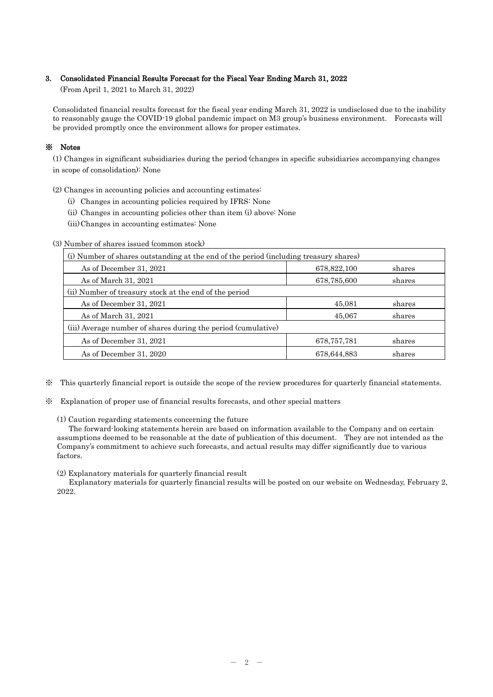## 3. Consolidated Financial Results Forecast for the Fiscal Year Ending March 31, 2022

(From April 1, 2021 to March 31, 2022)

Consolidated financial results forecast for the fiscal year ending March 31, 2022 is undisclosed due to the inability to reasonably gauge the COVID-19 global pandemic impact on M3 group's business environment. Forecasts will be provided promptly once the environment allows for proper estimates.

## ※ Notes

(1) Changes in significant subsidiaries during the period (changes in specific subsidiaries accompanying changes in scope of consolidation): None

- (2) Changes in accounting policies and accounting estimates:
	- (i) Changes in accounting policies required by IFRS: None
	- (ii) Changes in accounting policies other than item (i) above: None
	- (iii)Changes in accounting estimates: None

### (3) Number of shares issued (common stock)

| (i) Number of shares outstanding at the end of the period (including treasury shares) |               |        |  |  |  |  |
|---------------------------------------------------------------------------------------|---------------|--------|--|--|--|--|
| As of December 31, 2021                                                               | 678,822,100   | shares |  |  |  |  |
| As of March 31, 2021                                                                  | 678,785,600   | shares |  |  |  |  |
| (ii) Number of treasury stock at the end of the period                                |               |        |  |  |  |  |
| As of December 31, 2021                                                               | 45,081        | shares |  |  |  |  |
| As of March 31, 2021                                                                  | 45,067        | shares |  |  |  |  |
| (iii) Average number of shares during the period (cumulative)                         |               |        |  |  |  |  |
| As of December 31, 2021                                                               | 678, 757, 781 | shares |  |  |  |  |
| As of December 31, 2020<br>678,644,883<br>shares                                      |               |        |  |  |  |  |

- ※ This quarterly financial report is outside the scope of the review procedures for quarterly financial statements.
- ※ Explanation of proper use of financial results forecasts, and other special matters

(1) Caution regarding statements concerning the future

The forward-looking statements herein are based on information available to the Company and on certain assumptions deemed to be reasonable at the date of publication of this document. They are not intended as the Company's commitment to achieve such forecasts, and actual results may differ significantly due to various factors.

(2) Explanatory materials for quarterly financial result

Explanatory materials for quarterly financial results will be posted on our website on Wednesday, February 2, 2022.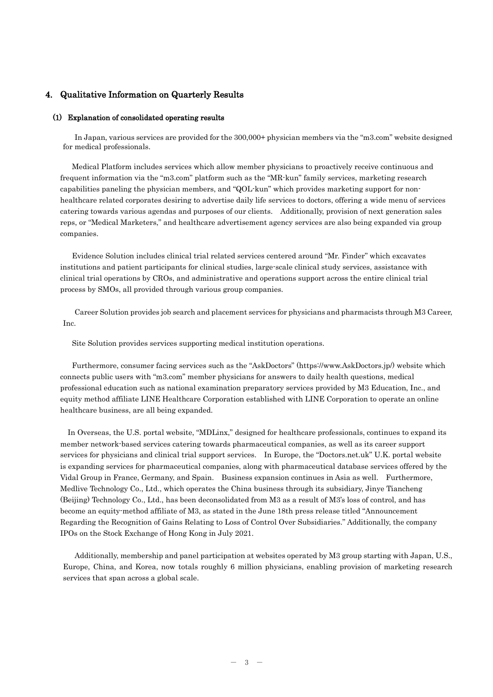# 4. Qualitative Information on Quarterly Results

### (1) Explanation of consolidated operating results

In Japan, various services are provided for the 300,000+ physician members via the "m3.com" website designed for medical professionals.

Medical Platform includes services which allow member physicians to proactively receive continuous and frequent information via the "m3.com" platform such as the "MR-kun" family services, marketing research capabilities paneling the physician members, and "QOL-kun" which provides marketing support for nonhealthcare related corporates desiring to advertise daily life services to doctors, offering a wide menu of services catering towards various agendas and purposes of our clients. Additionally, provision of next generation sales reps, or "Medical Marketers," and healthcare advertisement agency services are also being expanded via group companies.

Evidence Solution includes clinical trial related services centered around "Mr. Finder" which excavates institutions and patient participants for clinical studies, large-scale clinical study services, assistance with clinical trial operations by CROs, and administrative and operations support across the entire clinical trial process by SMOs, all provided through various group companies.

Career Solution provides job search and placement services for physicians and pharmacists through M3 Career, Inc.

Site Solution provides services supporting medical institution operations.

Furthermore, consumer facing services such as the "AskDoctors" (https://www.AskDoctors.jp/) website which connects public users with "m3.com" member physicians for answers to daily health questions, medical professional education such as national examination preparatory services provided by M3 Education, Inc., and equity method affiliate LINE Healthcare Corporation established with LINE Corporation to operate an online healthcare business, are all being expanded.

In Overseas, the U.S. portal website, "MDLinx," designed for healthcare professionals, continues to expand its member network-based services catering towards pharmaceutical companies, as well as its career support services for physicians and clinical trial support services. In Europe, the "Doctors.net.uk" U.K. portal website is expanding services for pharmaceutical companies, along with pharmaceutical database services offered by the Vidal Group in France, Germany, and Spain. Business expansion continues in Asia as well. Furthermore, Medlive Technology Co., Ltd., which operates the China business through its subsidiary, Jinye Tiancheng (Beijing) Technology Co., Ltd., has been deconsolidated from M3 as a result of M3's loss of control, and has become an equity-method affiliate of M3, as stated in the June 18th press release titled "Announcement Regarding the Recognition of Gains Relating to Loss of Control Over Subsidiaries." Additionally, the company IPOs on the Stock Exchange of Hong Kong in July 2021.

Additionally, membership and panel participation at websites operated by M3 group starting with Japan, U.S., Europe, China, and Korea, now totals roughly 6 million physicians, enabling provision of marketing research services that span across a global scale.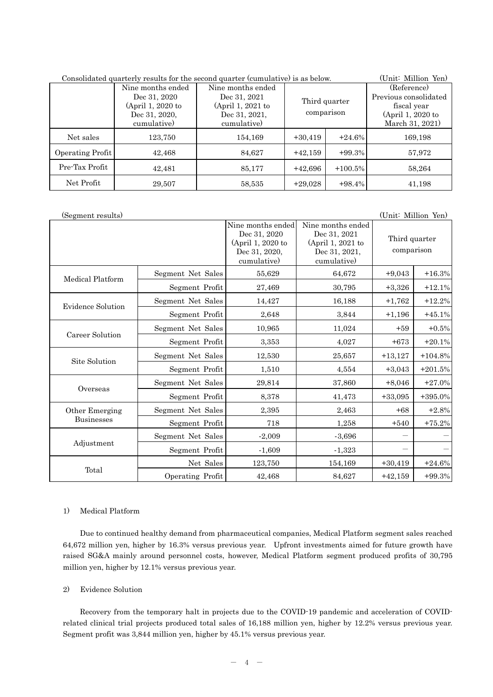| Consolidated quarterly results for the second quarter (cumulative) is as below. | (Unit: Million Yen) |                   |               |            |                       |
|---------------------------------------------------------------------------------|---------------------|-------------------|---------------|------------|-----------------------|
|                                                                                 | Nine months ended   | Nine months ended |               |            | (Reference)           |
|                                                                                 | Dec 31, 2020        | Dec 31, 2021      | Third quarter |            | Previous consolidated |
|                                                                                 | (April 1, 2020 to   | (April 1, 2021 to |               |            | fiscal year           |
|                                                                                 | Dec 31, 2020,       | Dec 31, 2021,     | comparison    |            | (April 1, 2020 to     |
|                                                                                 | cumulative)         | cumulative)       |               |            | March 31, 2021)       |
| Net sales                                                                       | 123,750             | 154,169           | $+30,419$     | $+24.6%$   | 169,198               |
| Operating Profit                                                                | 42,468              | 84,627            | $+42,159$     | $+99.3%$   | 57,972                |
| Pre-Tax Profit                                                                  | 42,481              | 85,177            | $+42,696$     | $+100.5\%$ | 58,264                |
| Net Profit                                                                      | 29,507              | 58,535            | $+29,028$     | $+98.4\%$  | 41,198                |

| (Segment results) |                   |                                                                                        |                                                                                        | (Unit: Million Yen)         |           |
|-------------------|-------------------|----------------------------------------------------------------------------------------|----------------------------------------------------------------------------------------|-----------------------------|-----------|
|                   |                   | Nine months ended<br>Dec 31, 2020<br>(April 1, 2020 to<br>Dec 31, 2020,<br>cumulative) | Nine months ended<br>Dec 31, 2021<br>(April 1, 2021 to<br>Dec 31, 2021,<br>cumulative) | Third quarter<br>comparison |           |
| Medical Platform  | Segment Net Sales | 55,629                                                                                 | 64,672                                                                                 | $+9,043$                    | $+16.3%$  |
|                   | Segment Profit    | 27,469                                                                                 | 30,795                                                                                 | $+3,326$                    | $+12.1%$  |
| Evidence Solution | Segment Net Sales | 14,427                                                                                 | 16,188                                                                                 | $+1,762$                    | $+12.2%$  |
|                   | Segment Profit    | 2,648                                                                                  | 3,844                                                                                  | $+1,196$                    | $+45.1%$  |
|                   | Segment Net Sales | 10,965                                                                                 | 11,024                                                                                 | $+59$                       | $+0.5%$   |
| Career Solution   | Segment Profit    | 3,353                                                                                  | 4,027                                                                                  | $+673$                      | $+20.1%$  |
| Site Solution     | Segment Net Sales | 12,530                                                                                 | 25,657                                                                                 | $+13,127$                   | $+104.8%$ |
|                   | Segment Profit    | 1,510                                                                                  | 4,554                                                                                  | $+3,043$                    | $+201.5%$ |
| Overseas          | Segment Net Sales | 29,814                                                                                 | 37,860                                                                                 | $+8,046$                    | $+27.0%$  |
|                   | Segment Profit    | 8,378                                                                                  | 41,473                                                                                 | $+33,095$                   | $+395.0%$ |
| Other Emerging    | Segment Net Sales | 2,395                                                                                  | 2,463                                                                                  | $+68$                       | $+2.8%$   |
| <b>Businesses</b> | Segment Profit    | 718                                                                                    | 1,258                                                                                  | $+540$                      | $+75.2%$  |
|                   | Segment Net Sales | $-2,009$                                                                               | $-3,696$                                                                               |                             |           |
| Adjustment        | Segment Profit    | $-1,609$                                                                               | $-1,323$                                                                               |                             |           |
|                   | Net Sales         | 123,750                                                                                | 154,169                                                                                | $+30,419$                   | $+24.6%$  |
| Total             | Operating Profit  | 42,468                                                                                 | 84,627                                                                                 | $+42,159$                   | $+99.3%$  |

### 1) Medical Platform

Due to continued healthy demand from pharmaceutical companies, Medical Platform segment sales reached 64,672 million yen, higher by 16.3% versus previous year. Upfront investments aimed for future growth have raised SG&A mainly around personnel costs, however, Medical Platform segment produced profits of 30,795 million yen, higher by 12.1% versus previous year.

### 2) Evidence Solution

Recovery from the temporary halt in projects due to the COVID-19 pandemic and acceleration of COVIDrelated clinical trial projects produced total sales of 16,188 million yen, higher by 12.2% versus previous year. Segment profit was 3,844 million yen, higher by 45.1% versus previous year.